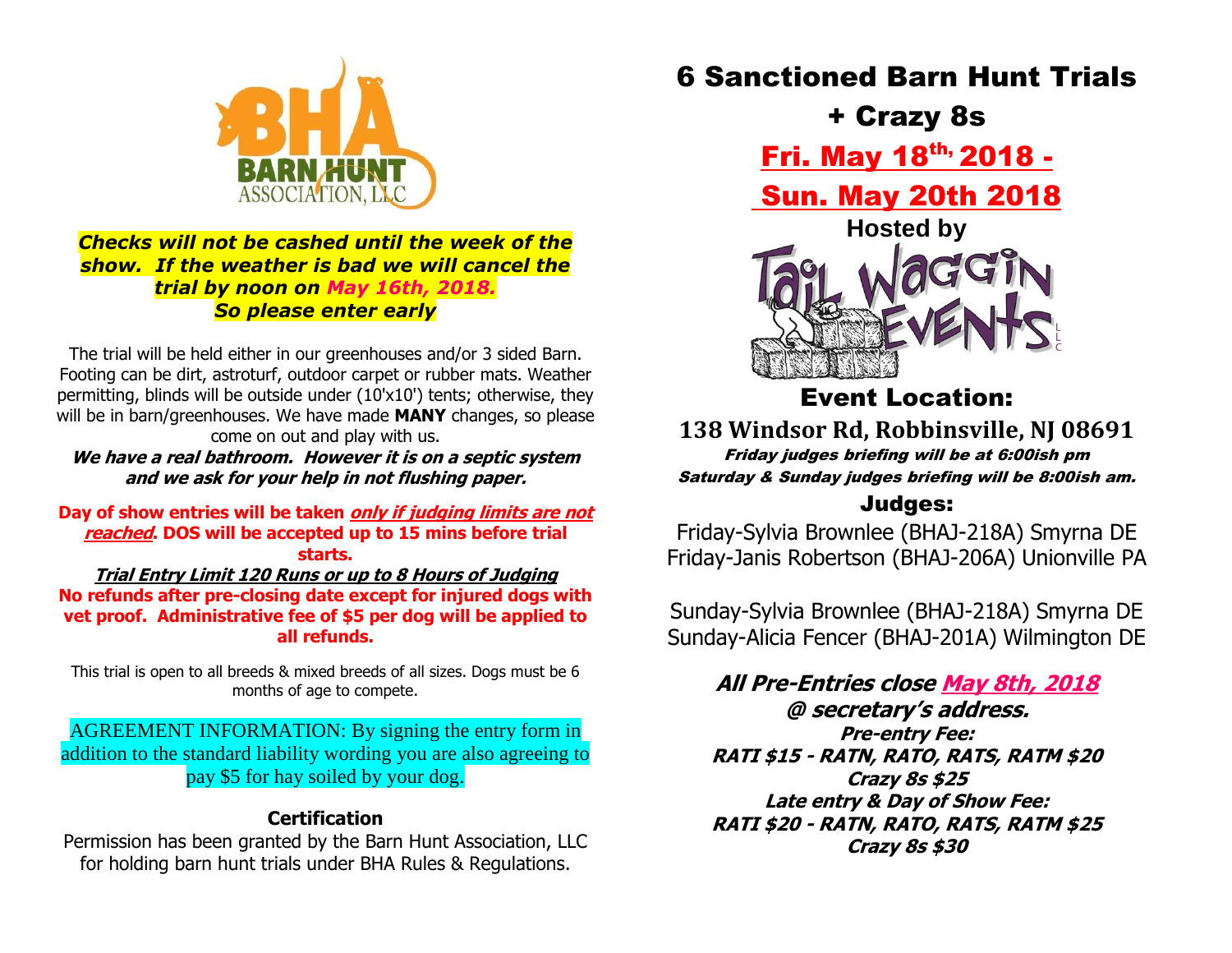

#### *Checks will not be cashed until the week of the show. If the weather is bad we will cancel the trial by noon on May 16th, 2018. So please enter early*

The trial will be held either in our greenhouses and/or 3 sided Barn. Footing can be dirt, astroturf, outdoor carpet or rubber mats. Weather permitting, blinds will be outside under (10'x10') tents; otherwise, they will be in barn/greenhouses. We have made **MANY** changes, so please come on out and play with us.

**We have a real bathroom. However it is on a septic system and we ask for your help in not flushing paper.**

**Day of show entries will be taken only if judging limits are not reached. DOS will be accepted up to 15 mins before trial starts.**

**Trial Entry Limit 120 Runs or up to 8 Hours of Judging No refunds after pre-closing date except for injured dogs with vet proof. Administrative fee of \$5 per dog will be applied to all refunds.**

This trial is open to all breeds & mixed breeds of all sizes. Dogs must be 6 months of age to compete.

AGREEMENT INFORMATION: By signing the entry form in addition to the standard liability wording you are also agreeing to pay \$5 for hay soiled by your dog.

### **Certification**

Permission has been granted by the Barn Hunt Association, LLC for holding barn hunt trials under BHA Rules & Regulations.

6 Sanctioned Barn Hunt Trials

+ Crazy 8s

Fri. May 18th, 2018 -

Sun. May 20th 2018



Event Location:

**138 Windsor Rd, Robbinsville, NJ 08691** Friday judges briefing will be at 6:00ish pm Saturday & Sunday judges briefing will be 8:00ish am.

## Judges:

Friday-Sylvia Brownlee (BHAJ-218A) Smyrna DE Friday-Janis Robertson (BHAJ-206A) Unionville PA

Sunday-Sylvia Brownlee (BHAJ-218A) Smyrna DE Sunday-Alicia Fencer (BHAJ-201A) Wilmington DE

**All Pre-Entries close May 8th, 2018 @ secretary's address. Pre-entry Fee: RATI \$15 - RATN, RATO, RATS, RATM \$20 Crazy 8s \$25 Late entry & Day of Show Fee: RATI \$20 - RATN, RATO, RATS, RATM \$25 Crazy 8s \$30**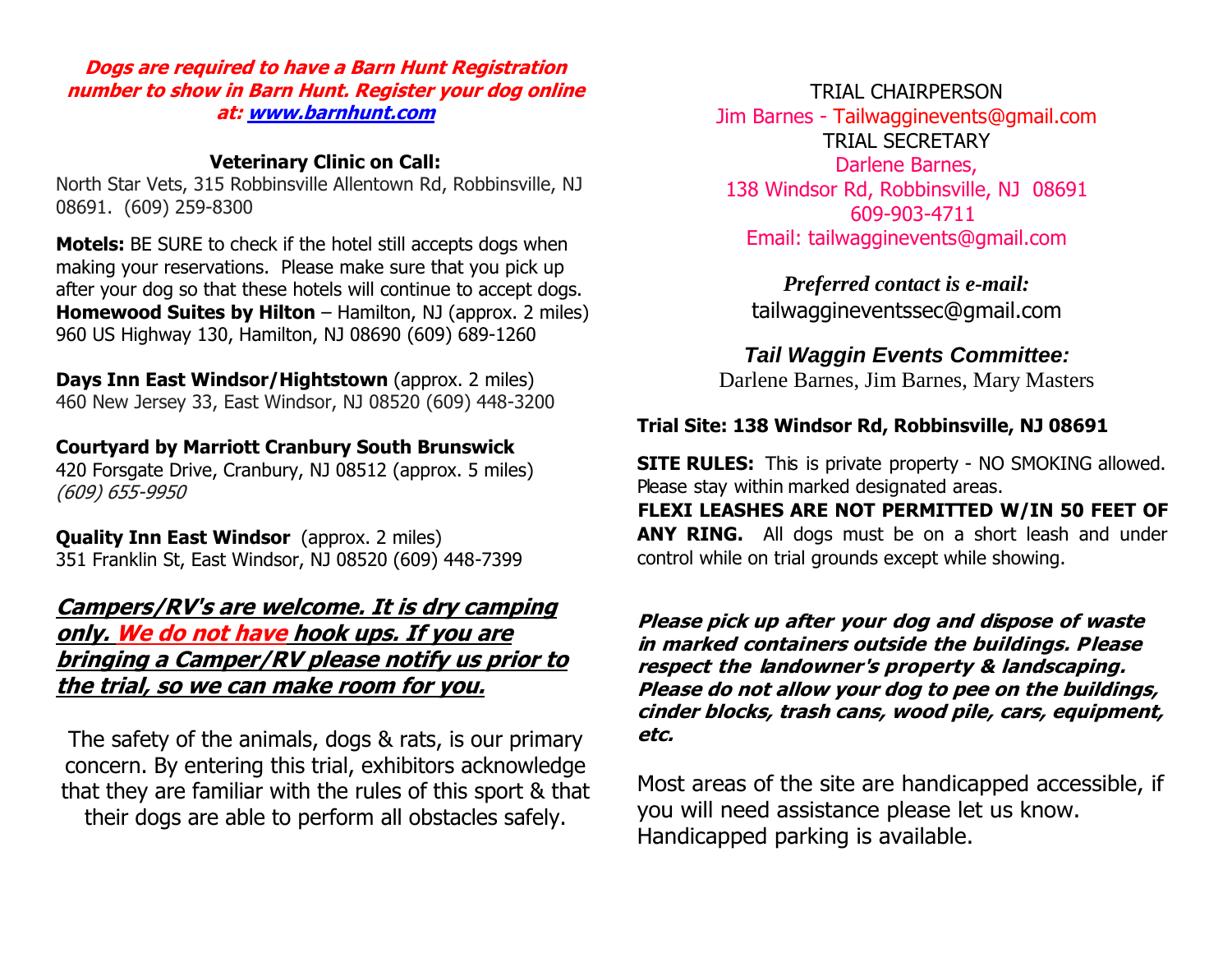**Dogs are required to have a Barn Hunt Registration number to show in Barn Hunt. Register your dog online at: [www.barnhunt.com](http://www.barnhunt.com/)**

#### **Veterinary Clinic on Call:**

North Star Vets, 315 Robbinsville Allentown Rd, Robbinsville, NJ 08691. (609) 259-8300

**Motels:** BE SURE to check if the hotel still accepts dogs when making your reservations. Please make sure that you pick up after your dog so that these hotels will continue to accept dogs. **Homewood Suites by Hilton** – Hamilton, NJ (approx. 2 miles) 960 US Highway 130, Hamilton, NJ 08690 (609) 689-1260

**Days Inn East Windsor/Hightstown** (approx. 2 miles) 460 New Jersey 33, East Windsor, NJ 08520 (609) 448-3200

#### **[Courtyard by Marriott Cranbury South Brunswick](http://www.marriott.com/hotels/hotel-deals/ewrbk-courtyard-cranbury-south-brunswick/)**

420 Forsgate Drive, Cranbury, NJ 08512 (approx. 5 miles) (609) 655-9950

**Quality Inn East Windsor** (approx. 2 miles) 351 Franklin St, East Windsor, NJ 08520 (609) 448-7399

## **Campers/RV's are welcome. It is dry camping only. We do not have hook ups. If you are bringing a Camper/RV please notify us prior to**

**the trial, so we can make room for you.**

The safety of the animals, dogs & rats, is our primary concern. By entering this trial, exhibitors acknowledge that they are familiar with the rules of this sport & that their dogs are able to perform all obstacles safely.

TRIAL CHAIRPERSON

Jim Barnes - Tailwagginevents@gmail.com TRIAL SECRETARY Darlene Barnes, 138 Windsor Rd, Robbinsville, NJ 08691 609-903-4711 Email: tailwagginevents@gmail.com

*Preferred contact is e-mail:*  tailwaggineventssec@gmail.com

*Tail Waggin Events Committee:* Darlene Barnes, Jim Barnes, Mary Masters

#### **Trial Site: 138 Windsor Rd, Robbinsville, NJ 08691**

**SITE RULES:** This is private property - NO SMOKING allowed. Please stay within marked designated areas.

**FLEXI LEASHES ARE NOT PERMITTED W/IN 50 FEET OF ANY RING.** All dogs must be on a short leash and under control while on trial grounds except while showing.

**Please pick up after your dog and dispose of waste in marked containers outside the buildings. Please respect the landowner's property & landscaping. Please do not allow your dog to pee on the buildings, cinder blocks, trash cans, wood pile, cars, equipment, etc.** 

Most areas of the site are handicapped accessible, if you will need assistance please let us know. Handicapped parking is available.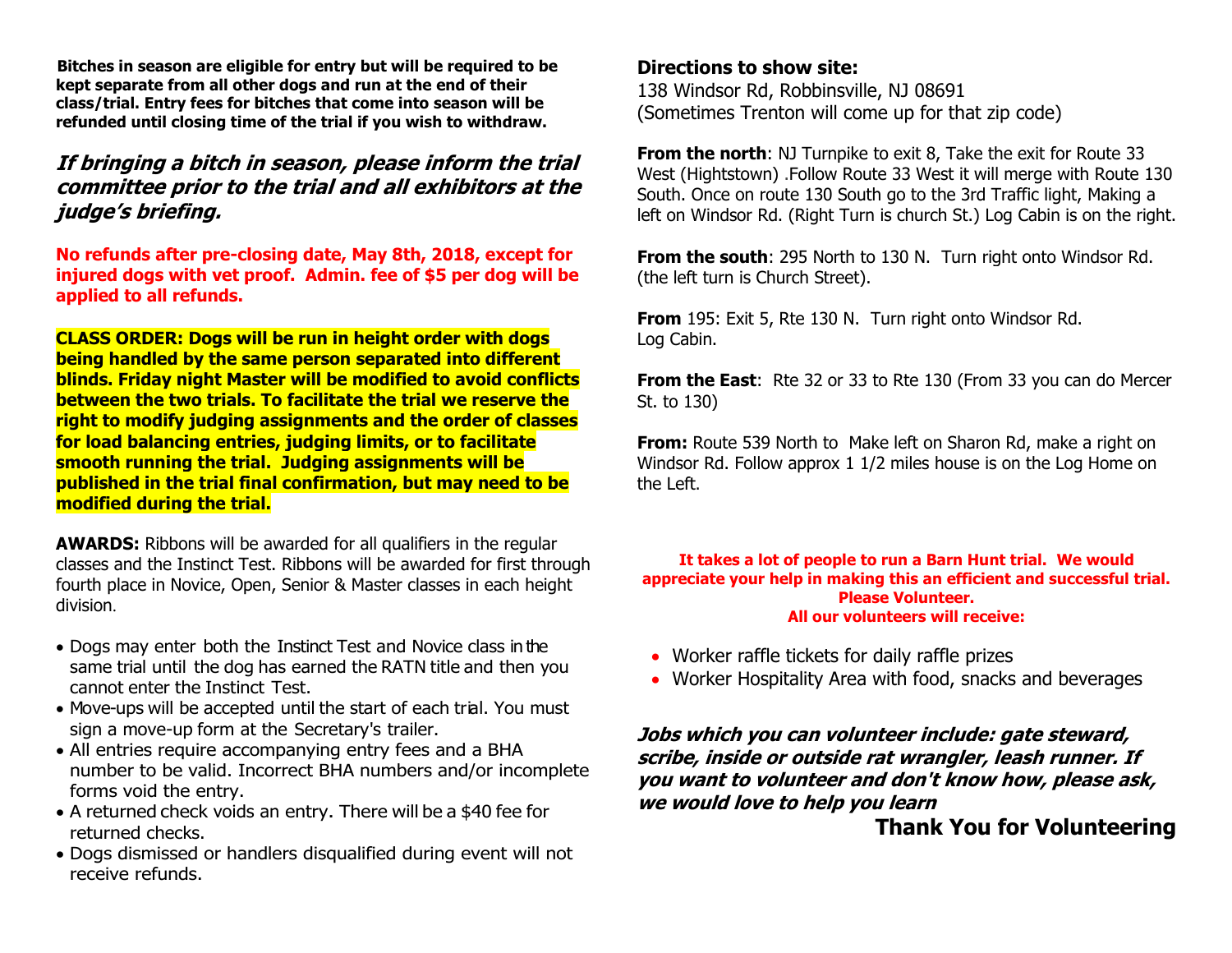**Bitches in season are eligible for entry but will be required to be kept separate from all other dogs and run at the end of their class/trial. Entry fees for bitches that come into season will be refunded until closing time of the trial if you wish to withdraw.** 

#### **If bringing a bitch in season, please inform the trial committee prior to the trial and all exhibitors at the judge's briefing.**

**No refunds after pre-closing date, May 8th, 2018, except for injured dogs with vet proof. Admin. fee of \$5 per dog will be applied to all refunds.**

**CLASS ORDER: Dogs will be run in height order with dogs being handled by the same person separated into different blinds. Friday night Master will be modified to avoid conflicts between the two trials. To facilitate the trial we reserve the right to modify judging assignments and the order of classes for load balancing entries, judging limits, or to facilitate smooth running the trial. Judging assignments will be published in the trial final confirmation, but may need to be modified during the trial.**

**AWARDS:** Ribbons will be awarded for all qualifiers in the regular classes and the Instinct Test. Ribbons will be awarded for first through fourth place in Novice, Open, Senior & Master classes in each height division.

- Dogs may enter both the Instinct Test and Novice class in the same trial until the dog has earned the RATN title and then you cannot enter the Instinct Test.
- Move-ups will be accepted until the start of each trial. You must sign a move-up form at the Secretary's trailer.
- All entries require accompanying entry fees and a BHA number to be valid. Incorrect BHA numbers and/or incomplete forms void the entry.
- A returned check voids an entry. There will be a \$40 fee for returned checks.
- Dogs dismissed or handlers disqualified during event will not receive refunds.

#### **Directions to show site:**

138 Windsor Rd, Robbinsville, NJ 08691 (Sometimes Trenton will come up for that zip code)

**From the north:** NJ Turnpike to exit 8, Take the exit for Route 33 West (Hightstown) .Follow Route 33 West it will merge with Route 130 South. Once on route 130 South go to the 3rd Traffic light, Making a left on Windsor Rd. (Right Turn is church St.) Log Cabin is on the right.

**From the south**: 295 North to 130 N. Turn right onto Windsor Rd. (the left turn is Church Street).

**From** 195: Exit 5, Rte 130 N. Turn right onto Windsor Rd. Log Cabin.

**From the East**: Rte 32 or 33 to Rte 130 (From 33 you can do Mercer St. to 130)

**From:** Route 539 North to Make left on Sharon Rd, make a right on Windsor Rd. Follow approx 1 1/2 miles house is on the Log Home on the Left.

#### **It takes a lot of people to run a Barn Hunt trial. We would appreciate your help in making this an efficient and successful trial. Please Volunteer. All our volunteers will receive:**

- Worker raffle tickets for daily raffle prizes
- Worker Hospitality Area with food, snacks and beverages

#### **Jobs which you can volunteer include: gate steward, scribe, inside or outside rat wrangler, leash runner. If you want to volunteer and don't know how, please ask, we would love to help you learn**

## **Thank You for Volunteering**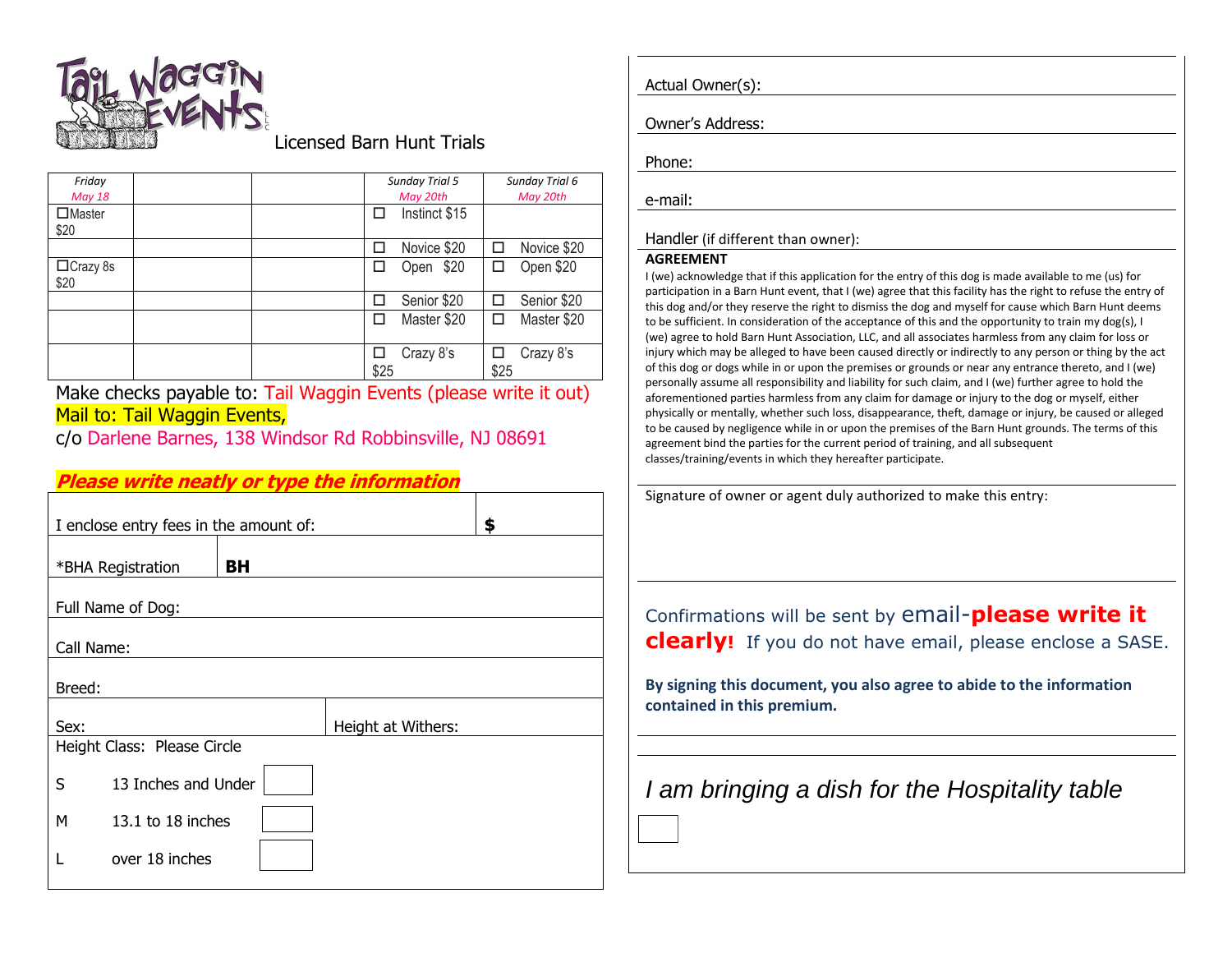

#### Licensed Barn Hunt Trials

| Friday<br><b>May 18</b>  |  |      | <b>Sunday Trial 5</b><br>May 20th |      | Sunday Trial 6<br>May 20th |
|--------------------------|--|------|-----------------------------------|------|----------------------------|
| $\square$ Master<br>\$20 |  | П    | Instinct \$15                     |      |                            |
|                          |  |      | Novice \$20                       |      | Novice \$20                |
| $\Box$ Crazy 8s<br>\$20  |  |      | \$20<br>Open                      | П    | Open \$20                  |
|                          |  |      | Senior \$20                       | П    | Senior \$20                |
|                          |  |      | Master \$20                       |      | Master \$20                |
|                          |  | \$25 | Crazy 8's                         | \$25 | Crazy 8's                  |

Make checks payable to: Tail Waggin Events (please write it out) Mail to: Tail Waggin Events,

c/o Darlene Barnes, 138 Windsor Rd Robbinsville, NJ 08691

#### **Please write neatly or type the information**

| I enclose entry fees in the amount of: | \$ |                    |  |  |  |
|----------------------------------------|----|--------------------|--|--|--|
| *BHA Registration                      | BH |                    |  |  |  |
| Full Name of Dog:                      |    |                    |  |  |  |
| Call Name:                             |    |                    |  |  |  |
| Breed:                                 |    |                    |  |  |  |
| Sex:                                   |    | Height at Withers: |  |  |  |
| Height Class: Please Circle            |    |                    |  |  |  |
| 13 Inches and Under<br>S               |    |                    |  |  |  |
| М<br>13.1 to 18 inches                 |    |                    |  |  |  |
| over 18 inches                         |    |                    |  |  |  |

| Actual Owner(s): |  |
|------------------|--|

Owner's Address:

Phone:

e-mail:

#### Handler (if different than owner):

#### **AGREEMENT**

I (we) acknowledge that if this application for the entry of this dog is made available to me (us) for participation in a Barn Hunt event, that I (we) agree that this facility has the right to refuse the entry of this dog and/or they reserve the right to dismiss the dog and myself for cause which Barn Hunt deems to be sufficient. In consideration of the acceptance of this and the opportunity to train my dog(s), I (we) agree to hold Barn Hunt Association, LLC, and all associates harmless from any claim for loss or injury which may be alleged to have been caused directly or indirectly to any person or thing by the act of this dog or dogs while in or upon the premises or grounds or near any entrance thereto, and I (we) personally assume all responsibility and liability for such claim, and I (we) further agree to hold the aforementioned parties harmless from any claim for damage or injury to the dog or myself, either physically or mentally, whether such loss, disappearance, theft, damage or injury, be caused or alleged to be caused by negligence while in or upon the premises of the Barn Hunt grounds. The terms of this agreement bind the parties for the current period of training, and all subsequent classes/training/events in which they hereafter participate.

Signature of owner or agent duly authorized to make this entry:

Confirmations will be sent by email-**please write it clearly!** If you do not have email, please enclose a SASE.

**By signing this document, you also agree to abide to the information contained in this premium.**

# *I am bringing a dish for the Hospitality table*